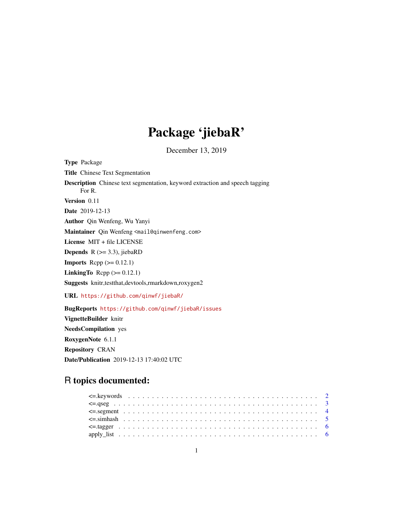# Package 'jiebaR'

December 13, 2019

Type Package Title Chinese Text Segmentation Description Chinese text segmentation, keyword extraction and speech tagging For R. Version 0.11 Date 2019-12-13 Author Qin Wenfeng, Wu Yanyi Maintainer Qin Wenfeng <mail@qinwenfeng.com> License MIT + file LICENSE **Depends** R  $(>= 3.3)$ , jiebaRD **Imports** Rcpp  $(>= 0.12.1)$ LinkingTo Rcpp  $(>= 0.12.1)$ Suggests knitr,testthat,devtools,rmarkdown,roxygen2 URL <https://github.com/qinwf/jiebaR/> BugReports <https://github.com/qinwf/jiebaR/issues>

VignetteBuilder knitr NeedsCompilation yes RoxygenNote 6.1.1 Repository CRAN Date/Publication 2019-12-13 17:40:02 UTC

# R topics documented: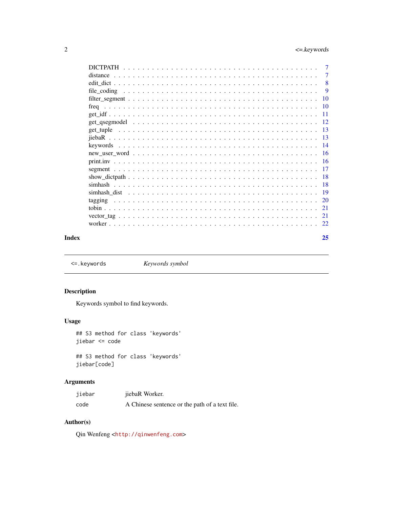<span id="page-1-0"></span>

|         | 7               |
|---------|-----------------|
|         | 7               |
|         | 8               |
|         | 9               |
|         | 10              |
|         | $\overline{10}$ |
|         | -11             |
|         | - 12            |
|         | -13             |
|         |                 |
|         | -14             |
|         |                 |
|         |                 |
|         |                 |
|         |                 |
|         | - 18            |
|         |                 |
| tagging |                 |
|         | 21              |
|         | 21              |
|         |                 |
|         |                 |

#### **Index** [25](#page-24-0)

<span id="page-1-1"></span><=.keywords *Keywords symbol*

# Description

Keywords symbol to find keywords.

# Usage

## S3 method for class 'keywords' jiebar <= code

## S3 method for class 'keywords' jiebar[code]

# Arguments

| jiebar | jiebaR Worker.                                 |
|--------|------------------------------------------------|
| code   | A Chinese sentence or the path of a text file. |

# Author(s)

Qin Wenfeng <<http://qinwenfeng.com>>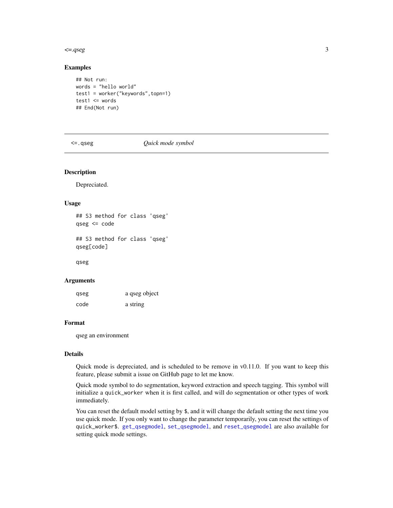#### <span id="page-2-0"></span> $\leq$  -gseg 3

#### Examples

```
## Not run:
words = "hello world"
test1 = worker("keywords",topn=1)
test1 <= words
## End(Not run)
```
<=.qseg *Quick mode symbol*

#### <span id="page-2-1"></span>Description

Depreciated.

#### Usage

## S3 method for class 'qseg' qseg <= code ## S3 method for class 'qseg'

qseg[code]

qseg

#### Arguments

| qseg | a qseg object |
|------|---------------|
| code | a string      |

# Format

qseg an environment

### Details

Quick mode is depreciated, and is scheduled to be remove in v0.11.0. If you want to keep this feature, please submit a issue on GitHub page to let me know.

Quick mode symbol to do segmentation, keyword extraction and speech tagging. This symbol will initialize a quick\_worker when it is first called, and will do segmentation or other types of work immediately.

You can reset the default model setting by  $\frac{1}{2}$ , and it will change the default setting the next time you use quick mode. If you only want to change the parameter temporarily, you can reset the settings of quick\_worker\$. [get\\_qsegmodel](#page-11-1), [set\\_qsegmodel](#page-11-2), and [reset\\_qsegmodel](#page-11-2) are also available for setting quick mode settings.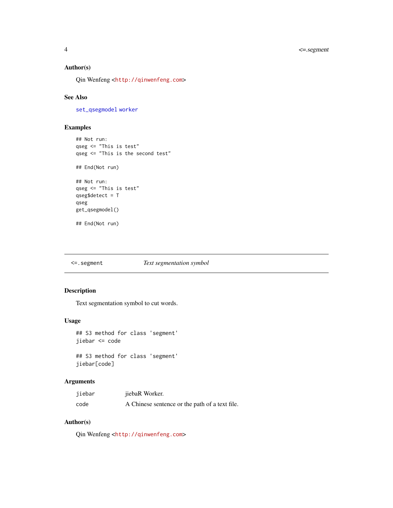<span id="page-3-0"></span>4 <=.segment

# Author(s)

Qin Wenfeng <<http://qinwenfeng.com>>

# See Also

[set\\_qsegmodel](#page-11-2) [worker](#page-21-1)

# Examples

```
## Not run:
qseg <= "This is test"
qseg <= "This is the second test"
## End(Not run)
## Not run:
qseg <= "This is test"
qseg$detect = T
qseg
get_qsegmodel()
## End(Not run)
```
<span id="page-3-1"></span><=.segment *Text segmentation symbol*

# Description

Text segmentation symbol to cut words.

#### Usage

```
## S3 method for class 'segment'
jiebar <= code
```
## S3 method for class 'segment' jiebar[code]

# Arguments

| jiebar | jiebaR Worker.                                 |
|--------|------------------------------------------------|
| code   | A Chinese sentence or the path of a text file. |

# Author(s)

Qin Wenfeng <<http://qinwenfeng.com>>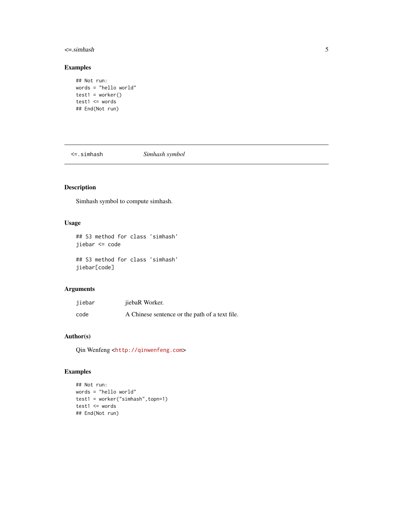#### <span id="page-4-0"></span> $\le$  =.simhash 5

# Examples

```
## Not run:
words = "hello world"
test1 = worker()test1 <= words
## End(Not run)
```
<span id="page-4-1"></span><=.simhash *Simhash symbol*

# Description

Simhash symbol to compute simhash.

# Usage

```
## S3 method for class 'simhash'
jiebar <= code
```
## S3 method for class 'simhash' jiebar[code]

# Arguments

| jiebar | jiebaR Worker.                                 |
|--------|------------------------------------------------|
| code   | A Chinese sentence or the path of a text file. |

# Author(s)

Qin Wenfeng <<http://qinwenfeng.com>>

#### Examples

```
## Not run:
words = "hello world"
test1 = worker("simhash",topn=1)
test1 <= words
## End(Not run)
```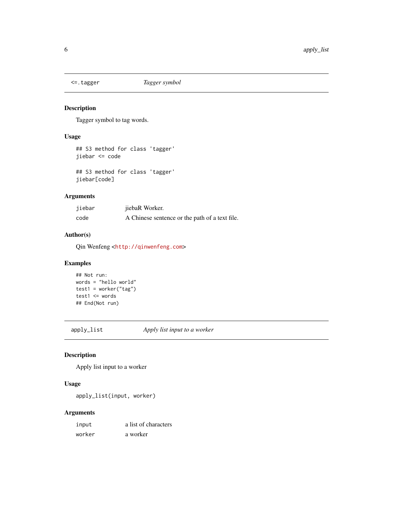<span id="page-5-1"></span><span id="page-5-0"></span>

# Description

Tagger symbol to tag words.

#### Usage

```
## S3 method for class 'tagger'
jiebar <= code
```
## S3 method for class 'tagger' jiebar[code]

#### Arguments

| jiebar | jiebaR Worker.                                 |
|--------|------------------------------------------------|
| code   | A Chinese sentence or the path of a text file. |

# Author(s)

Qin Wenfeng <<http://qinwenfeng.com>>

# Examples

```
## Not run:
words = "hello world"
test1 = worker("tag")
test1 <= words
## End(Not run)
```
apply\_list *Apply list input to a worker*

# Description

Apply list input to a worker

# Usage

```
apply_list(input, worker)
```
# Arguments

| input  | a list of characters |
|--------|----------------------|
| worker | a worker             |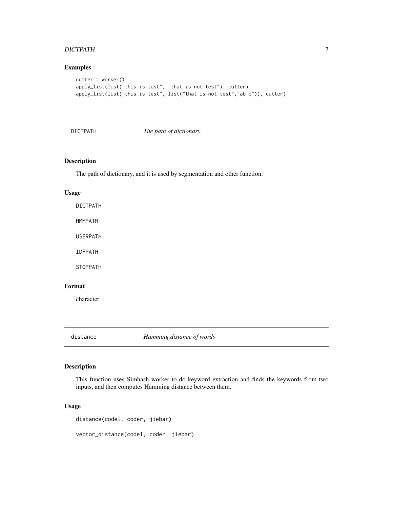#### <span id="page-6-0"></span>DICTPATH 7

# Examples

```
cutter = worker()
apply_list(list("this is test", "that is not test"), cutter)
apply_list(list("this is test", list("that is not test","ab c")), cutter)
```
#### DICTPATH *The path of dictionary*

#### Description

The path of dictionary, and it is used by segmentation and other function.

#### Usage

DICTPATH

HMMPATH

USERPATH

IDFPATH

STOPPATH

# Format

character

distance *Hamming distance of words*

# Description

This function uses Simhash worker to do keyword extraction and finds the keywords from two inputs, and then computes Hamming distance between them.

# Usage

```
distance(codel, coder, jiebar)
vector_distance(codel, coder, jiebar)
```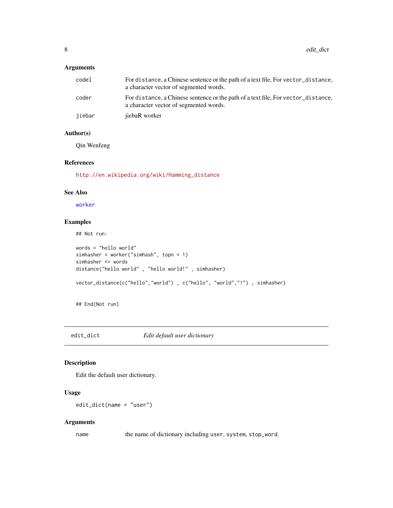# <span id="page-7-0"></span>Arguments

| codel  | For distance, a Chinese sentence or the path of a text file, For vector_distance,<br>a character vector of segmented words. |
|--------|-----------------------------------------------------------------------------------------------------------------------------|
| coder  | For distance, a Chinese sentence or the path of a text file, For vector_distance,<br>a character vector of segmented words. |
| jiebar | jiebaR worker                                                                                                               |

#### Author(s)

Qin Wenfeng

# References

[http://en.wikipedia.org/wiki/Hamming\\_distance](http://en.wikipedia.org/wiki/Hamming_distance)

#### See Also

[worker](#page-21-1)

# Examples

## Not run:

```
words = "hello world"
simhasher = worker("simhash", topn = 1)
simhasher <= words
distance("hello world" , "hello world!" , simhasher)
vector_distance(c("hello","world") , c("hello", "world","!") , simhasher)
```
## End(Not run)

edit\_dict *Edit default user dictionary*

# Description

Edit the default user dictionary.

# Usage

edit\_dict(name = "user")

# Arguments

name the name of dictionary including user, system, stop\_word.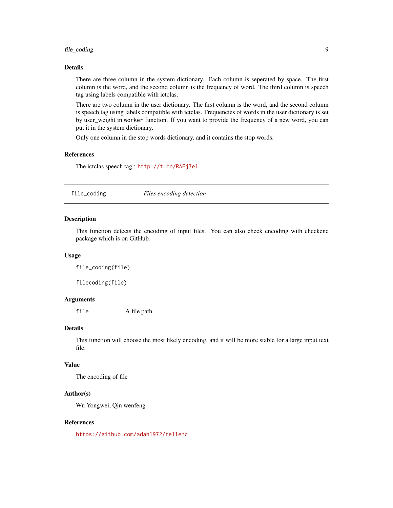# <span id="page-8-0"></span>file\_coding 9

# Details

There are three column in the system dictionary. Each column is seperated by space. The first column is the word, and the second column is the frequency of word. The third column is speech tag using labels compatible with ictclas.

There are two column in the user dictionary. The first column is the word, and the second column is speech tag using labels compatible with ictclas. Frequencies of words in the user dictionary is set by user\_weight in worker function. If you want to provide the frequency of a new word, you can put it in the system dictionary.

Only one column in the stop words dictionary, and it contains the stop words.

#### References

The ictclas speech tag : <http://t.cn/RAEj7e1>

file\_coding *Files encoding detection*

#### Description

This function detects the encoding of input files. You can also check encoding with checkenc package which is on GitHub.

#### Usage

file\_coding(file)

filecoding(file)

# Arguments

file A file path.

#### Details

This function will choose the most likely encoding, and it will be more stable for a large input text file.

# Value

The encoding of file

#### Author(s)

Wu Yongwei, Qin wenfeng

#### References

<https://github.com/adah1972/tellenc>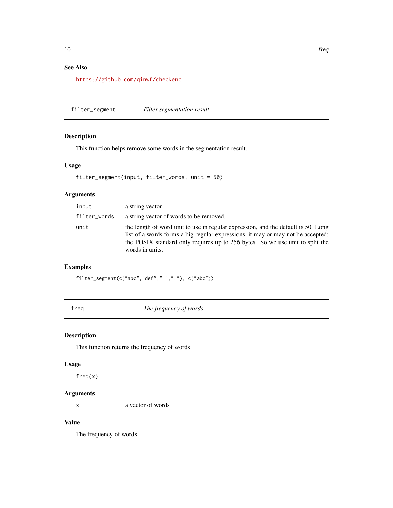# <span id="page-9-0"></span>See Also

<https://github.com/qinwf/checkenc>

filter\_segment *Filter segmentation result*

# Description

This function helps remove some words in the segmentation result.

#### Usage

```
filter_segment(input, filter_words, unit = 50)
```
#### Arguments

| input        | a string vector                                                                                                                                                                                                                                                          |
|--------------|--------------------------------------------------------------------------------------------------------------------------------------------------------------------------------------------------------------------------------------------------------------------------|
| filter_words | a string vector of words to be removed.                                                                                                                                                                                                                                  |
| unit         | the length of word unit to use in regular expression, and the default is 50. Long<br>list of a words forms a big regular expressions, it may or may not be accepted:<br>the POSIX standard only requires up to 256 bytes. So we use unit to split the<br>words in units. |

# Examples

filter\_segment(c("abc","def"," ","."), c("abc"))

freq *The frequency of words*

# Description

This function returns the frequency of words

#### Usage

freq(x)

# Arguments

x a vector of words

# Value

The frequency of words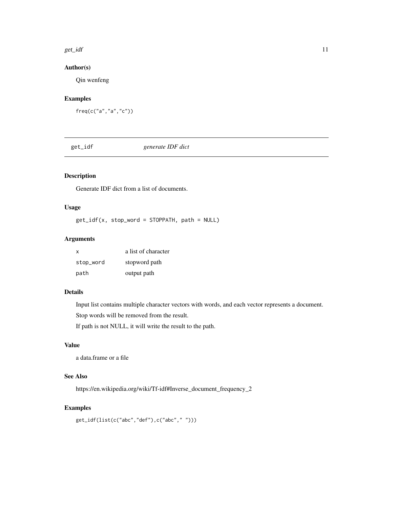#### <span id="page-10-0"></span>get\_idf 11

# Author(s)

Qin wenfeng

# Examples

freq(c("a","a","c"))

get\_idf *generate IDF dict*

# Description

Generate IDF dict from a list of documents.

### Usage

get\_idf(x, stop\_word = STOPPATH, path = NULL)

# Arguments

| x         | a list of character |
|-----------|---------------------|
| stop_word | stopword path       |
| path      | output path         |

# Details

Input list contains multiple character vectors with words, and each vector represents a document.

Stop words will be removed from the result.

If path is not NULL, it will write the result to the path.

#### Value

a data.frame or a file

# See Also

https://en.wikipedia.org/wiki/Tf-idf#Inverse\_document\_frequency\_2

# Examples

get\_idf(list(c("abc","def"),c("abc"," ")))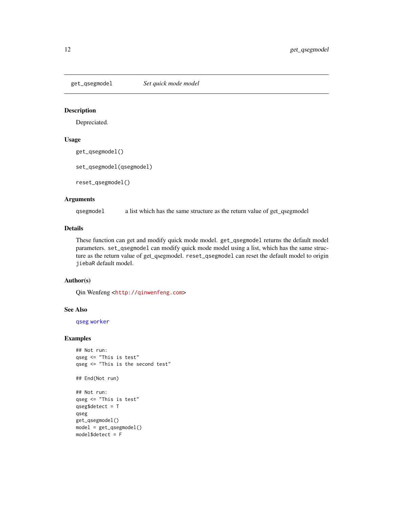<span id="page-11-1"></span><span id="page-11-0"></span>

# <span id="page-11-2"></span>Description

Depreciated.

#### Usage

```
get_qsegmodel()
```
set\_qsegmodel(qsegmodel)

reset\_qsegmodel()

#### Arguments

qsegmodel a list which has the same structure as the return value of get\_qsegmodel

#### Details

These function can get and modify quick mode model. get\_qsegmodel returns the default model parameters. set\_qsegmodel can modify quick mode model using a list, which has the same structure as the return value of get\_qsegmodel. reset\_qsegmodel can reset the default model to origin jiebaR default model.

#### Author(s)

Qin Wenfeng <<http://qinwenfeng.com>>

#### See Also

[qseg](#page-2-1) [worker](#page-21-1)

# Examples

```
## Not run:
qseg <= "This is test"
qseg <= "This is the second test"
## End(Not run)
## Not run:
qseg <= "This is test"
qseg$detect = T
qseg
get_qsegmodel()
model = get\_qsegment()model$detect = F
```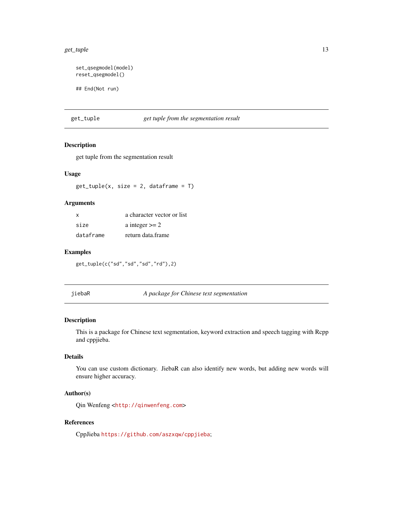#### <span id="page-12-0"></span>get\_tuple 13

```
set_qsegmodel(model)
reset_qsegmodel()
## End(Not run)
```
get\_tuple *get tuple from the segmentation result*

#### Description

get tuple from the segmentation result

#### Usage

 $get\_tuple(x, size = 2, dataframe = T)$ 

#### Arguments

| x         | a character vector or list |
|-----------|----------------------------|
| size      | a integer $>= 2$           |
| dataframe | return data frame          |

#### Examples

get\_tuple(c("sd","sd","sd","rd"),2)

jiebaR *A package for Chinese text segmentation*

#### Description

This is a package for Chinese text segmentation, keyword extraction and speech tagging with Rcpp and cppjieba.

# Details

You can use custom dictionary. JiebaR can also identify new words, but adding new words will ensure higher accuracy.

# Author(s)

Qin Wenfeng <<http://qinwenfeng.com>>

# References

CppJieba <https://github.com/aszxqw/cppjieba>;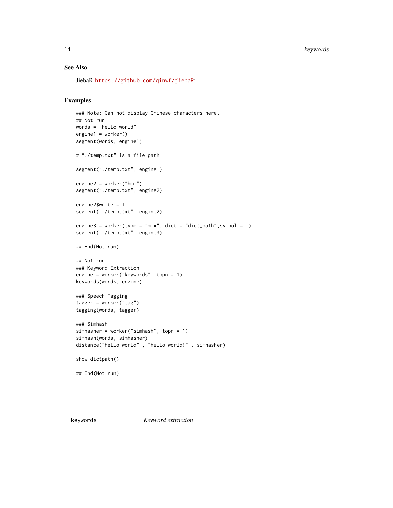#### 14 keywords

# See Also

JiebaR <https://github.com/qinwf/jiebaR>;

# Examples

```
### Note: Can not display Chinese characters here.
## Not run:
words = "hello world"
engine1 = worker()
segment(words, engine1)
# "./temp.txt" is a file path
segment("./temp.txt", engine1)
engine2 = worker("hmm")
segment("./temp.txt", engine2)
engine2$write = T
segment("./temp.txt", engine2)
engine3 = worker(type = "mix", dict = "dict_path",symbol = T)
segment("./temp.txt", engine3)
## End(Not run)
## Not run:
### Keyword Extraction
engine = worker("keywords", topn = 1)
keywords(words, engine)
### Speech Tagging
tagger = worker("tag")
tagging(words, tagger)
### Simhash
simhasher = worker("simhash", topn = 1)
simhash(words, simhasher)
distance("hello world" , "hello world!" , simhasher)
show_dictpath()
## End(Not run)
```
keywords *Keyword extraction*

<span id="page-13-0"></span>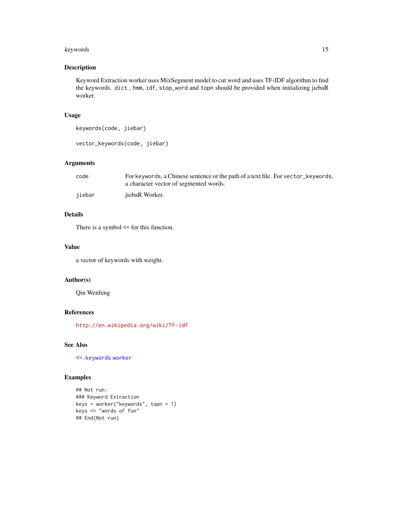#### <span id="page-14-0"></span>keywords and the set of the set of the set of the set of the set of the set of the set of the set of the set of the set of the set of the set of the set of the set of the set of the set of the set of the set of the set of

# Description

Keyword Extraction worker uses MixSegment model to cut word and uses TF-IDF algorithm to find the keywords. dict , hmm, idf, stop\_word and topn should be provided when initializing jiebaR worker.

#### Usage

```
keywords(code, jiebar)
```

```
vector_keywords(code, jiebar)
```
# Arguments

| code   | For keywords, a Chinese sentence or the path of a text file. For vector_keywords, |
|--------|-----------------------------------------------------------------------------------|
|        | a character vector of segmented words.                                            |
| iiebar | jiebaR Worker.                                                                    |

# Details

There is a symbol <= for this function.

#### Value

a vector of keywords with weight.

#### Author(s)

Qin Wenfeng

# References

<http://en.wikipedia.org/wiki/Tf-idf>

# See Also

[<=.keywords](#page-1-1) [worker](#page-21-1)

# Examples

```
## Not run:
### Keyword Extraction
keys = worker("keywords", topn = 1)
keys <= "words of fun"
## End(Not run)
```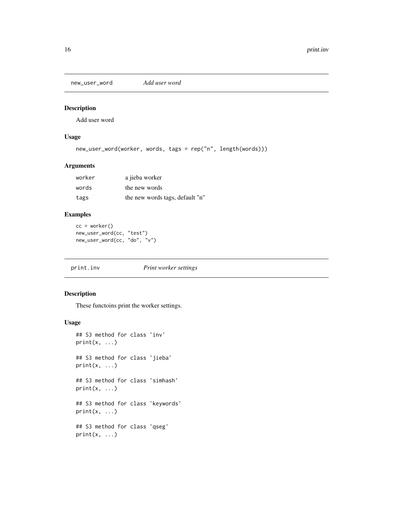<span id="page-15-0"></span>new\_user\_word *Add user word*

#### Description

Add user word

# Usage

```
new_user_word(worker, words, tags = rep("n", length(words)))
```
# Arguments

| worker | a jieba worker                  |
|--------|---------------------------------|
| words  | the new words                   |
| tags   | the new words tags, default "n" |

# Examples

```
cc = worker()
new_user_word(cc, "test")
new_user_word(cc, "do", "v")
```
print.inv *Print worker settings*

# Description

These functoins print the worker settings.

#### Usage

```
## S3 method for class 'inv'
print(x, \ldots)## S3 method for class 'jieba'
print(x, \ldots)## S3 method for class 'simhash'
print(x, \ldots)## S3 method for class 'keywords'
print(x, \ldots)## S3 method for class 'qseg'
print(x, \ldots)
```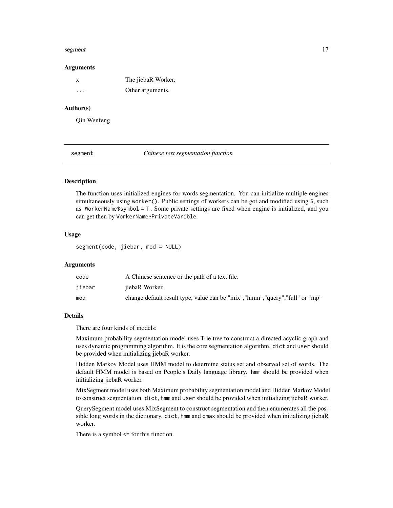#### <span id="page-16-0"></span>segment and the segment of  $\sim$  17

#### Arguments

| x        | The jiebaR Worker. |
|----------|--------------------|
| $\cdots$ | Other arguments.   |

#### Author(s)

Qin Wenfeng

segment *Chinese text segmentation function*

#### **Description**

The function uses initialized engines for words segmentation. You can initialize multiple engines simultaneously using worker(). Public settings of workers can be got and modified using \$, such as WorkerName\$symbol =  $T$ . Some private settings are fixed when engine is initialized, and you can get then by WorkerName\$PrivateVarible.

#### Usage

segment(code, jiebar, mod = NULL)

# Arguments

| code   | A Chinese sentence or the path of a text file.                                 |
|--------|--------------------------------------------------------------------------------|
| iiebar | jiebaR Worker.                                                                 |
| mod    | change default result type, value can be "mix", "hmm", "query", "full" or "mp" |

# Details

There are four kinds of models:

Maximum probability segmentation model uses Trie tree to construct a directed acyclic graph and uses dynamic programming algorithm. It is the core segmentation algorithm. dict and user should be provided when initializing jiebaR worker.

Hidden Markov Model uses HMM model to determine status set and observed set of words. The default HMM model is based on People's Daily language library. hmm should be provided when initializing jiebaR worker.

MixSegment model uses both Maximum probability segmentation model and Hidden Markov Model to construct segmentation. dict, hmm and user should be provided when initializing jiebaR worker.

QuerySegment model uses MixSegment to construct segmentation and then enumerates all the possible long words in the dictionary. dict, hmm and qmax should be provided when initializing jiebaR worker.

There is a symbol <= for this function.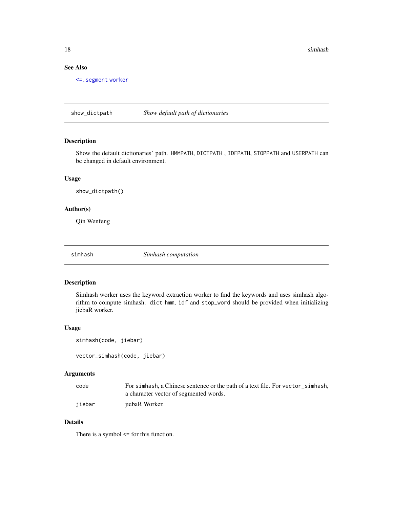<span id="page-17-0"></span>18 simhash

#### See Also

[<=.segment](#page-3-1) [worker](#page-21-1)

show\_dictpath *Show default path of dictionaries*

# Description

Show the default dictionaries' path. HMMPATH, DICTPATH , IDFPATH, STOPPATH and USERPATH can be changed in default environment.

#### Usage

show\_dictpath()

# Author(s)

Qin Wenfeng

simhash *Simhash computation*

#### Description

Simhash worker uses the keyword extraction worker to find the keywords and uses simhash algorithm to compute simhash. dict hmm, idf and stop\_word should be provided when initializing jiebaR worker.

#### Usage

```
simhash(code, jiebar)
```

```
vector_simhash(code, jiebar)
```
# Arguments

| code   | For simhash, a Chinese sentence or the path of a text file. For vector_simhash, |
|--------|---------------------------------------------------------------------------------|
|        | a character vector of segmented words.                                          |
| iiebar | jiebaR Worker.                                                                  |

# Details

There is a symbol <= for this function.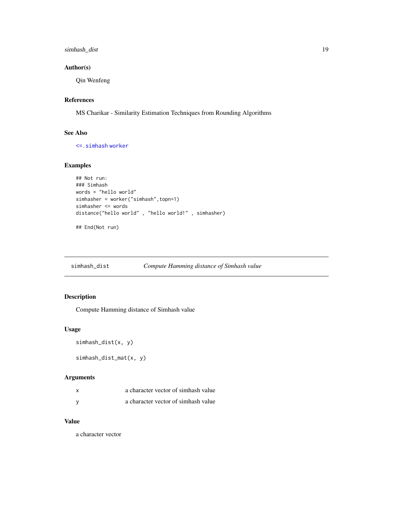# <span id="page-18-0"></span>simhash\_dist 19

# Author(s)

Qin Wenfeng

# References

MS Charikar - Similarity Estimation Techniques from Rounding Algorithms

# See Also

[<=.simhash](#page-4-1) [worker](#page-21-1)

# Examples

```
## Not run:
### Simhash
words = "hello world"
simhasher = worker("simhash",topn=1)
simhasher <= words
distance("hello world" , "hello world!" , simhasher)
## End(Not run)
```
simhash\_dist *Compute Hamming distance of Simhash value*

# Description

Compute Hamming distance of Simhash value

#### Usage

```
simhash_dist(x, y)
```
simhash\_dist\_mat(x, y)

# Arguments

| a character vector of simhash value |  |
|-------------------------------------|--|
| a character vector of simhash value |  |

#### Value

a character vector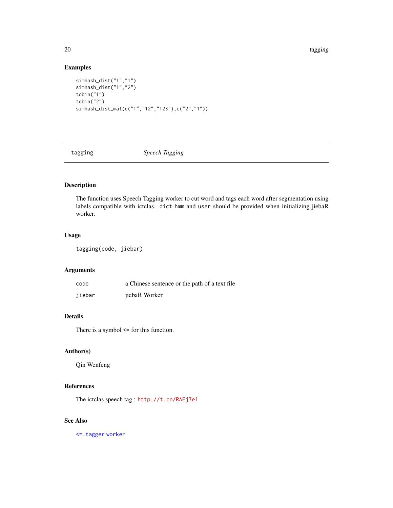<span id="page-19-0"></span>20 tagging the state of the state of the state of the state of the state of the state of the state of the state of the state of the state of the state of the state of the state of the state of the state of the state of the

# Examples

```
simhash_dist("1","1")
simhash_dist("1","2")
tobin("1")
tobin("2")
simhash_dist_mat(c("1","12","123"),c("2","1"))
```
tagging *Speech Tagging*

# Description

The function uses Speech Tagging worker to cut word and tags each word after segmentation using labels compatible with ictclas. dict hmm and user should be provided when initializing jiebaR worker.

#### Usage

tagging(code, jiebar)

# Arguments

| code   | a Chinese sentence or the path of a text file |
|--------|-----------------------------------------------|
| jiebar | jiebaR Worker                                 |

# Details

There is a symbol <= for this function.

# Author(s)

Qin Wenfeng

# References

The ictclas speech tag : <http://t.cn/RAEj7e1>

# See Also

[<=.tagger](#page-5-1) [worker](#page-21-1)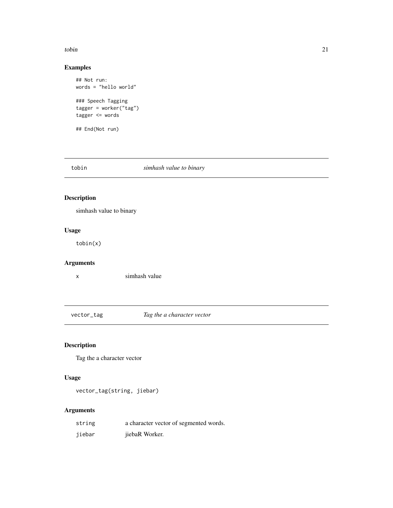#### <span id="page-20-0"></span>tobin 21

# Examples

```
## Not run:
words = "hello world"
### Speech Tagging
tagger = worker("tag")
tagger <= words
## End(Not run)
```
# tobin *simhash value to binary*

# Description

simhash value to binary

# Usage

tobin(x)

# Arguments

x simhash value

vector\_tag *Tag the a character vector*

# Description

Tag the a character vector

# Usage

vector\_tag(string, jiebar)

# Arguments

| string | a character vector of segmented words. |
|--------|----------------------------------------|
| jiebar | jiebaR Worker.                         |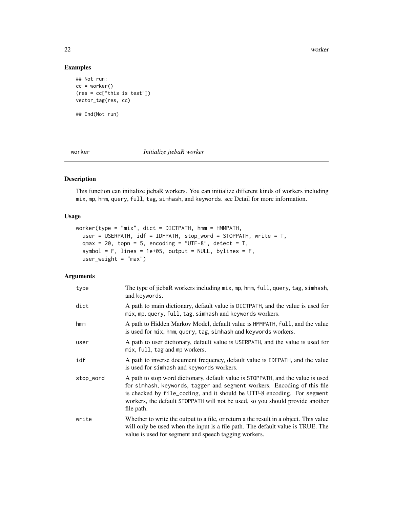22 worker

# Examples

```
## Not run:
cc = worker()(res = cc["this is test"])
vector_tag(res, cc)
## End(Not run)
```
<span id="page-21-1"></span>

worker *Initialize jiebaR worker*

# Description

This function can initialize jiebaR workers. You can initialize different kinds of workers including mix, mp, hmm, query, full, tag, simhash, and keywords. see Detail for more information.

# Usage

```
worker(type = "mix", dict = DICTPATH, hmm = HMMPATH,
 user = USERPATH, idf = IDFPATH, stop_word = STOPPATH, write = T,
  qmax = 20, topn = 5, encoding = "UTF-8", detect = T,
  symbol = F, lines = 1e+05, output = NULL, bylines = F,
 user\_weight = "max")
```
# Arguments

| type      | The type of jiebaR workers including mix, mp, hmm, full, query, tag, simhash,<br>and keywords.                                                                                                                                                                                                                                         |
|-----------|----------------------------------------------------------------------------------------------------------------------------------------------------------------------------------------------------------------------------------------------------------------------------------------------------------------------------------------|
| dict      | A path to main dictionary, default value is DICTPATH, and the value is used for<br>mix, mp, query, full, tag, simhash and keywords workers.                                                                                                                                                                                            |
| hmm       | A path to Hidden Markov Model, default value is HMMPATH, full, and the value<br>is used for mix, hmm, query, tag, simhash and keywords workers.                                                                                                                                                                                        |
| user      | A path to user dictionary, default value is USERPATH, and the value is used for<br>mix, full, tag and mp workers.                                                                                                                                                                                                                      |
| idf       | A path to inverse document frequency, default value is IDFPATH, and the value<br>is used for simhash and keywords workers.                                                                                                                                                                                                             |
| stop_word | A path to stop word dictionary, default value is STOPPATH, and the value is used<br>for simhash, keywords, tagger and segment workers. Encoding of this file<br>is checked by file_coding, and it should be UTF-8 encoding. For segment<br>workers, the default STOPPATH will not be used, so you should provide another<br>file path. |
| write     | Whether to write the output to a file, or return a the result in a object. This value<br>will only be used when the input is a file path. The default value is TRUE. The<br>value is used for segment and speech tagging workers.                                                                                                      |

<span id="page-21-0"></span>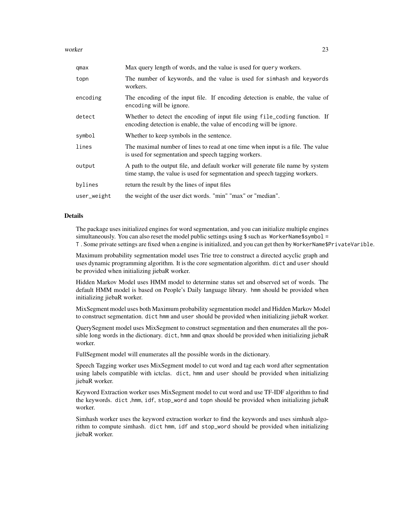#### worker 23

| qmax        | Max query length of words, and the value is used for query workers.                                                                                           |
|-------------|---------------------------------------------------------------------------------------------------------------------------------------------------------------|
| topn        | The number of keywords, and the value is used for simhash and keywords<br>workers.                                                                            |
| encoding    | The encoding of the input file. If encoding detection is enable, the value of<br>encoding will be ignore.                                                     |
| detect      | Whether to detect the encoding of input file using file_coding function. If<br>encoding detection is enable, the value of encoding will be ignore.            |
| symbol      | Whether to keep symbols in the sentence.                                                                                                                      |
| lines       | The maximal number of lines to read at one time when input is a file. The value<br>is used for segmentation and speech tagging workers.                       |
| output      | A path to the output file, and default worker will generate file name by system<br>time stamp, the value is used for segmentation and speech tagging workers. |
| bylines     | return the result by the lines of input files                                                                                                                 |
| user_weight | the weight of the user dict words. "min" "max" or "median".                                                                                                   |

# Details

The package uses initialized engines for word segmentation, and you can initialize multiple engines simultaneously. You can also reset the model public settings using \$ such as WorkerName\$symbol = T . Some private settings are fixed when a engine is initialized, and you can get then by WorkerName\$PrivateVarible.

Maximum probability segmentation model uses Trie tree to construct a directed acyclic graph and uses dynamic programming algorithm. It is the core segmentation algorithm. dict and user should be provided when initializing jiebaR worker.

Hidden Markov Model uses HMM model to determine status set and observed set of words. The default HMM model is based on People's Daily language library. hmm should be provided when initializing jiebaR worker.

MixSegment model uses both Maximum probability segmentation model and Hidden Markov Model to construct segmentation. dict hmm and user should be provided when initializing jiebaR worker.

QuerySegment model uses MixSegment to construct segmentation and then enumerates all the possible long words in the dictionary. dict, hmm and qmax should be provided when initializing jiebaR worker.

FullSegment model will enumerates all the possible words in the dictionary.

Speech Tagging worker uses MixSegment model to cut word and tag each word after segmentation using labels compatible with ictclas. dict, hmm and user should be provided when initializing jiebaR worker.

Keyword Extraction worker uses MixSegment model to cut word and use TF-IDF algorithm to find the keywords. dict ,hmm, idf, stop\_word and topn should be provided when initializing jiebaR worker.

Simhash worker uses the keyword extraction worker to find the keywords and uses simhash algorithm to compute simhash. dict hmm, idf and stop\_word should be provided when initializing jiebaR worker.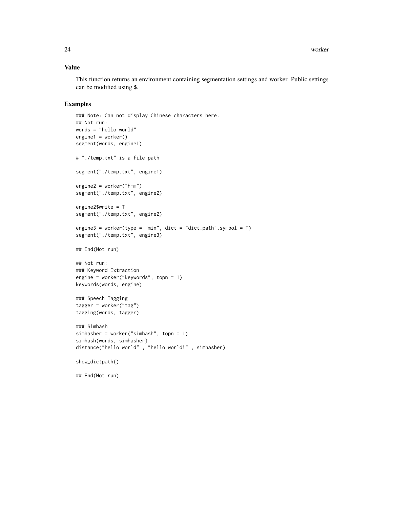# Value

This function returns an environment containing segmentation settings and worker. Public settings can be modified using \$.

#### Examples

```
### Note: Can not display Chinese characters here.
## Not run:
words = "hello world"
engine1 = worker()
segment(words, engine1)
# "./temp.txt" is a file path
segment("./temp.txt", engine1)
engine2 = worker("hmm")
segment("./temp.txt", engine2)
engine2$write = T
segment("./temp.txt", engine2)
engine3 = worker(type = "mix", dict = "dict_path", symbol = T)
segment("./temp.txt", engine3)
## End(Not run)
## Not run:
### Keyword Extraction
engine = worker("keywords", topn = 1)
keywords(words, engine)
### Speech Tagging
tagger = worker("tag")
tagging(words, tagger)
### Simhash
simhasher = worker("simhash", topn = 1)
simhash(words, simhasher)
distance("hello world" , "hello world!" , simhasher)
show_dictpath()
```
## End(Not run)